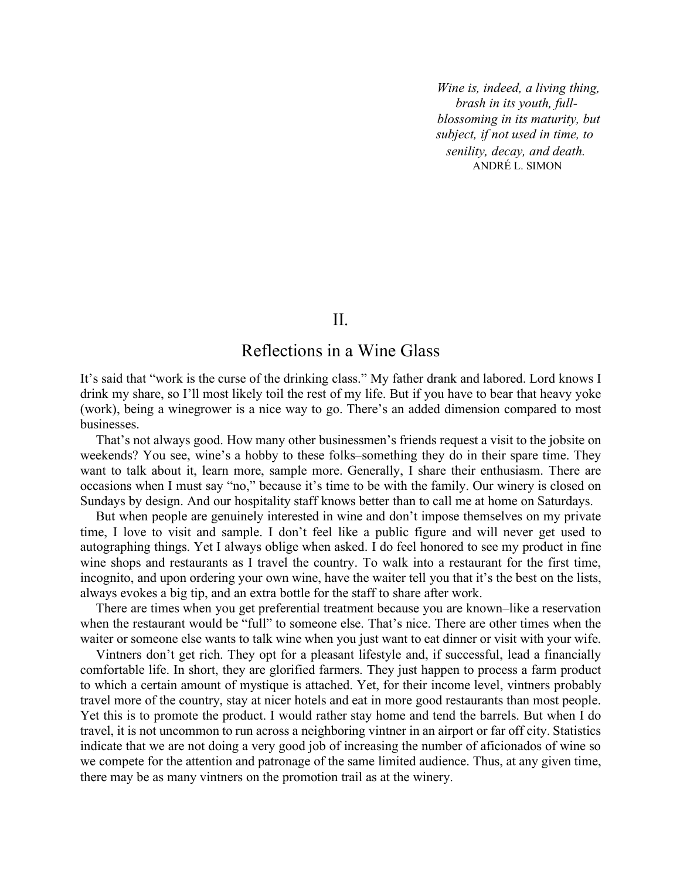*Wine is, indeed, a living thing, brash in its youth, fullblossoming in its maturity, but subject, if not used in time, to senility, decay, and death.* ANDRÉ L. SIMON

## $II$ .

## Reflections in a Wine Glass

It's said that "work is the curse of the drinking class." My father drank and labored. Lord knows I drink my share, so I'll most likely toil the rest of my life. But if you have to bear that heavy yoke (work), being a winegrower is a nice way to go. There's an added dimension compared to most businesses.

That's not always good. How many other businessmen's friends request a visit to the jobsite on weekends? You see, wine's a hobby to these folks–something they do in their spare time. They want to talk about it, learn more, sample more. Generally, I share their enthusiasm. There are occasions when I must say "no," because it's time to be with the family. Our winery is closed on Sundays by design. And our hospitality staff knows better than to call me at home on Saturdays.

But when people are genuinely interested in wine and don't impose themselves on my private time, I love to visit and sample. I don't feel like a public figure and will never get used to autographing things. Yet I always oblige when asked. I do feel honored to see my product in fine wine shops and restaurants as I travel the country. To walk into a restaurant for the first time, incognito, and upon ordering your own wine, have the waiter tell you that it's the best on the lists, always evokes a big tip, and an extra bottle for the staff to share after work.

There are times when you get preferential treatment because you are known–like a reservation when the restaurant would be "full" to someone else. That's nice. There are other times when the waiter or someone else wants to talk wine when you just want to eat dinner or visit with your wife.

Vintners don't get rich. They opt for a pleasant lifestyle and, if successful, lead a financially comfortable life. In short, they are glorified farmers. They just happen to process a farm product to which a certain amount of mystique is attached. Yet, for their income level, vintners probably travel more of the country, stay at nicer hotels and eat in more good restaurants than most people. Yet this is to promote the product. I would rather stay home and tend the barrels. But when I do travel, it is not uncommon to run across a neighboring vintner in an airport or far off city. Statistics indicate that we are not doing a very good job of increasing the number of aficionados of wine so we compete for the attention and patronage of the same limited audience. Thus, at any given time, there may be as many vintners on the promotion trail as at the winery.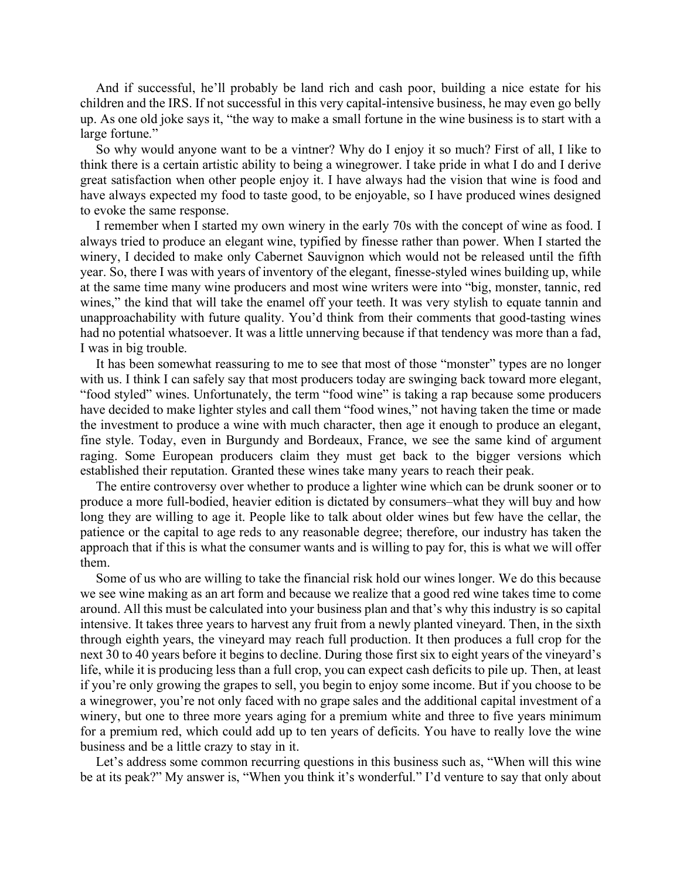And if successful, he'll probably be land rich and cash poor, building a nice estate for his children and the IRS. If not successful in this very capital-intensive business, he may even go belly up. As one old joke says it, "the way to make a small fortune in the wine business is to start with a large fortune."

So why would anyone want to be a vintner? Why do I enjoy it so much? First of all, I like to think there is a certain artistic ability to being a winegrower. I take pride in what I do and I derive great satisfaction when other people enjoy it. I have always had the vision that wine is food and have always expected my food to taste good, to be enjoyable, so I have produced wines designed to evoke the same response.

I remember when I started my own winery in the early 70s with the concept of wine as food. I always tried to produce an elegant wine, typified by finesse rather than power. When I started the winery, I decided to make only Cabernet Sauvignon which would not be released until the fifth year. So, there I was with years of inventory of the elegant, finesse-styled wines building up, while at the same time many wine producers and most wine writers were into "big, monster, tannic, red wines," the kind that will take the enamel off your teeth. It was very stylish to equate tannin and unapproachability with future quality. You'd think from their comments that good-tasting wines had no potential whatsoever. It was a little unnerving because if that tendency was more than a fad, I was in big trouble.

It has been somewhat reassuring to me to see that most of those "monster" types are no longer with us. I think I can safely say that most producers today are swinging back toward more elegant, "food styled" wines. Unfortunately, the term "food wine" is taking a rap because some producers have decided to make lighter styles and call them "food wines," not having taken the time or made the investment to produce a wine with much character, then age it enough to produce an elegant, fine style. Today, even in Burgundy and Bordeaux, France, we see the same kind of argument raging. Some European producers claim they must get back to the bigger versions which established their reputation. Granted these wines take many years to reach their peak.

The entire controversy over whether to produce a lighter wine which can be drunk sooner or to produce a more full-bodied, heavier edition is dictated by consumers–what they will buy and how long they are willing to age it. People like to talk about older wines but few have the cellar, the patience or the capital to age reds to any reasonable degree; therefore, our industry has taken the approach that if this is what the consumer wants and is willing to pay for, this is what we will offer them.

Some of us who are willing to take the financial risk hold our wines longer. We do this because we see wine making as an art form and because we realize that a good red wine takes time to come around. All this must be calculated into your business plan and that's why this industry is so capital intensive. It takes three years to harvest any fruit from a newly planted vineyard. Then, in the sixth through eighth years, the vineyard may reach full production. It then produces a full crop for the next 30 to 40 years before it begins to decline. During those first six to eight years of the vineyard's life, while it is producing less than a full crop, you can expect cash deficits to pile up. Then, at least if you're only growing the grapes to sell, you begin to enjoy some income. But if you choose to be a winegrower, you're not only faced with no grape sales and the additional capital investment of a winery, but one to three more years aging for a premium white and three to five years minimum for a premium red, which could add up to ten years of deficits. You have to really love the wine business and be a little crazy to stay in it.

Let's address some common recurring questions in this business such as, "When will this wine be at its peak?" My answer is, "When you think it's wonderful." I'd venture to say that only about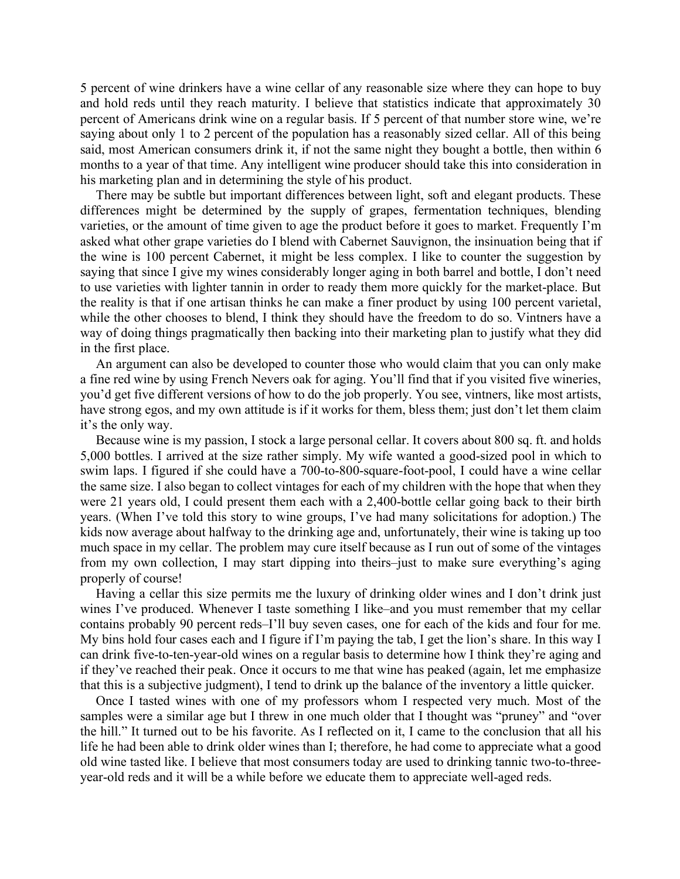5 percent of wine drinkers have a wine cellar of any reasonable size where they can hope to buy and hold reds until they reach maturity. I believe that statistics indicate that approximately 30 percent of Americans drink wine on a regular basis. If 5 percent of that number store wine, we're saying about only 1 to 2 percent of the population has a reasonably sized cellar. All of this being said, most American consumers drink it, if not the same night they bought a bottle, then within 6 months to a year of that time. Any intelligent wine producer should take this into consideration in his marketing plan and in determining the style of his product.

There may be subtle but important differences between light, soft and elegant products. These differences might be determined by the supply of grapes, fermentation techniques, blending varieties, or the amount of time given to age the product before it goes to market. Frequently I'm asked what other grape varieties do I blend with Cabernet Sauvignon, the insinuation being that if the wine is 100 percent Cabernet, it might be less complex. I like to counter the suggestion by saying that since I give my wines considerably longer aging in both barrel and bottle, I don't need to use varieties with lighter tannin in order to ready them more quickly for the market-place. But the reality is that if one artisan thinks he can make a finer product by using 100 percent varietal, while the other chooses to blend, I think they should have the freedom to do so. Vintners have a way of doing things pragmatically then backing into their marketing plan to justify what they did in the first place.

An argument can also be developed to counter those who would claim that you can only make a fine red wine by using French Nevers oak for aging. You'll find that if you visited five wineries, you'd get five different versions of how to do the job properly. You see, vintners, like most artists, have strong egos, and my own attitude is if it works for them, bless them; just don't let them claim it's the only way.

Because wine is my passion, I stock a large personal cellar. It covers about 800 sq. ft. and holds 5,000 bottles. I arrived at the size rather simply. My wife wanted a good-sized pool in which to swim laps. I figured if she could have a 700-to-800-square-foot-pool, I could have a wine cellar the same size. I also began to collect vintages for each of my children with the hope that when they were 21 years old, I could present them each with a 2,400-bottle cellar going back to their birth years. (When I've told this story to wine groups, I've had many solicitations for adoption.) The kids now average about halfway to the drinking age and, unfortunately, their wine is taking up too much space in my cellar. The problem may cure itself because as I run out of some of the vintages from my own collection, I may start dipping into theirs–just to make sure everything's aging properly of course!

Having a cellar this size permits me the luxury of drinking older wines and I don't drink just wines I've produced. Whenever I taste something I like–and you must remember that my cellar contains probably 90 percent reds–I'll buy seven cases, one for each of the kids and four for me. My bins hold four cases each and I figure if I'm paying the tab, I get the lion's share. In this way I can drink five-to-ten-year-old wines on a regular basis to determine how I think they're aging and if they've reached their peak. Once it occurs to me that wine has peaked (again, let me emphasize that this is a subjective judgment), I tend to drink up the balance of the inventory a little quicker.

Once I tasted wines with one of my professors whom I respected very much. Most of the samples were a similar age but I threw in one much older that I thought was "pruney" and "over the hill." It turned out to be his favorite. As I reflected on it, I came to the conclusion that all his life he had been able to drink older wines than I; therefore, he had come to appreciate what a good old wine tasted like. I believe that most consumers today are used to drinking tannic two-to-threeyear-old reds and it will be a while before we educate them to appreciate well-aged reds.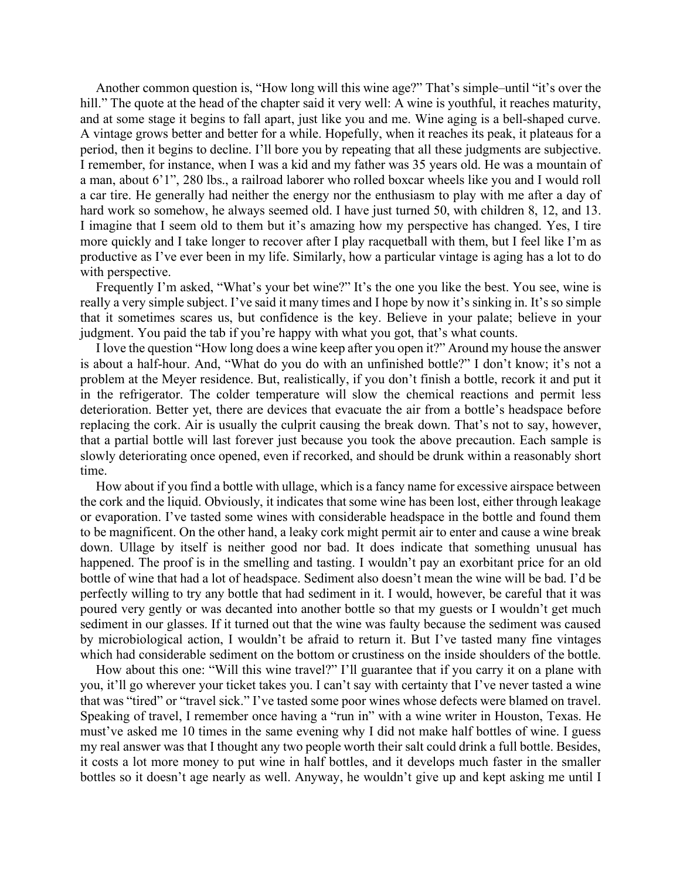Another common question is, "How long will this wine age?" That's simple–until "it's over the hill." The quote at the head of the chapter said it very well: A wine is youthful, it reaches maturity, and at some stage it begins to fall apart, just like you and me. Wine aging is a bell-shaped curve. A vintage grows better and better for a while. Hopefully, when it reaches its peak, it plateaus for a period, then it begins to decline. I'll bore you by repeating that all these judgments are subjective. I remember, for instance, when I was a kid and my father was 35 years old. He was a mountain of a man, about 6'1", 280 lbs., a railroad laborer who rolled boxcar wheels like you and I would roll a car tire. He generally had neither the energy nor the enthusiasm to play with me after a day of hard work so somehow, he always seemed old. I have just turned 50, with children 8, 12, and 13. I imagine that I seem old to them but it's amazing how my perspective has changed. Yes, I tire more quickly and I take longer to recover after I play racquetball with them, but I feel like I'm as productive as I've ever been in my life. Similarly, how a particular vintage is aging has a lot to do with perspective.

Frequently I'm asked, "What's your bet wine?" It's the one you like the best. You see, wine is really a very simple subject. I've said it many times and I hope by now it's sinking in. It's so simple that it sometimes scares us, but confidence is the key. Believe in your palate; believe in your judgment. You paid the tab if you're happy with what you got, that's what counts.

I love the question "How long does a wine keep after you open it?" Around my house the answer is about a half-hour. And, "What do you do with an unfinished bottle?" I don't know; it's not a problem at the Meyer residence. But, realistically, if you don't finish a bottle, recork it and put it in the refrigerator. The colder temperature will slow the chemical reactions and permit less deterioration. Better yet, there are devices that evacuate the air from a bottle's headspace before replacing the cork. Air is usually the culprit causing the break down. That's not to say, however, that a partial bottle will last forever just because you took the above precaution. Each sample is slowly deteriorating once opened, even if recorked, and should be drunk within a reasonably short time.

How about if you find a bottle with ullage, which is a fancy name for excessive airspace between the cork and the liquid. Obviously, it indicates that some wine has been lost, either through leakage or evaporation. I've tasted some wines with considerable headspace in the bottle and found them to be magnificent. On the other hand, a leaky cork might permit air to enter and cause a wine break down. Ullage by itself is neither good nor bad. It does indicate that something unusual has happened. The proof is in the smelling and tasting. I wouldn't pay an exorbitant price for an old bottle of wine that had a lot of headspace. Sediment also doesn't mean the wine will be bad. I'd be perfectly willing to try any bottle that had sediment in it. I would, however, be careful that it was poured very gently or was decanted into another bottle so that my guests or I wouldn't get much sediment in our glasses. If it turned out that the wine was faulty because the sediment was caused by microbiological action, I wouldn't be afraid to return it. But I've tasted many fine vintages which had considerable sediment on the bottom or crustiness on the inside shoulders of the bottle.

How about this one: "Will this wine travel?" I'll guarantee that if you carry it on a plane with you, it'll go wherever your ticket takes you. I can't say with certainty that I've never tasted a wine that was "tired" or "travel sick." I've tasted some poor wines whose defects were blamed on travel. Speaking of travel, I remember once having a "run in" with a wine writer in Houston, Texas. He must've asked me 10 times in the same evening why I did not make half bottles of wine. I guess my real answer was that I thought any two people worth their salt could drink a full bottle. Besides, it costs a lot more money to put wine in half bottles, and it develops much faster in the smaller bottles so it doesn't age nearly as well. Anyway, he wouldn't give up and kept asking me until I